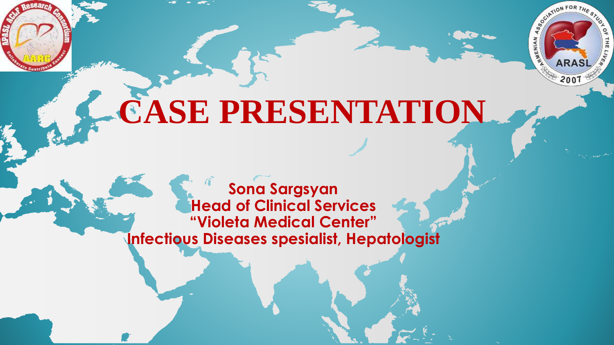

# **CASE PRESENTATION**

 $2007$ 

**Sona Sargsyan Head of Clinical Services "Violeta Medical Center" Infectious Diseases spesialist, Hepatologist**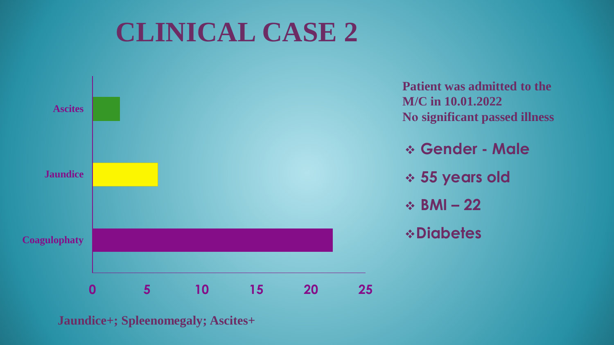# **CLINICAL CASE 2**



**Jaundice+; Spleenomegaly; Ascites+**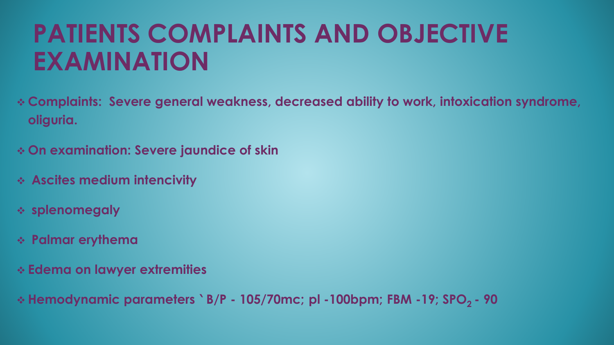# **PATIENTS COMPLAINTS AND OBJECTIVE EXAMINATION**

- **Complaints: Severe general weakness, decreased ability to work, intoxication syndrome, oliguria.**
- **On examination: Severe jaundice of skin**
- **Ascites medium intencivity**
- **splenomegaly**
- **Palmar erythema**
- **Edema on lawyer extremities**
- **Hemodynamic parameters ՝ B/P - 105/70mc; pl -100bpm; FBM -19; SPO2 - 90**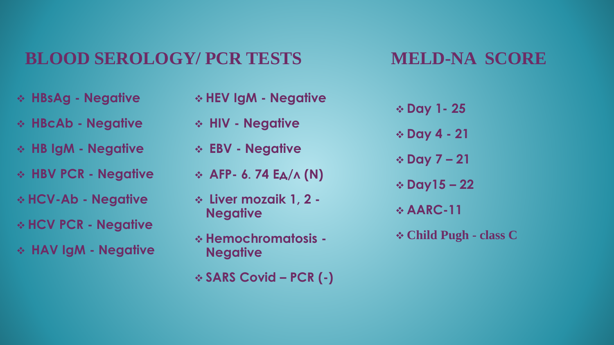### **BLOOD SEROLOGY/ PCR TESTS**

### **MELD-NA SCORE**

- **HBsAg - Negative**
- **HBcAb - Negative**
- **HB IgM - Negative**
- **HBV PCR - Negative**
- **HCV-Ab - Negative**
- **HCV PCR - Negative**
- **HAV IgM - Negative**
- **HEV IgM - Negative HIV - Negative EBV - Negative AFP- 6**․**74 Eд/л (N) Liver mozaik 1, 2 - Negative Hemochromatosis - Negative**
- **SARS Covid – PCR (-)**
- **Day 1- 25 Day 4 - 21 Day 7 – 21 Day15 – 22**
- **AARC-11**
- **Child Pugh - class C**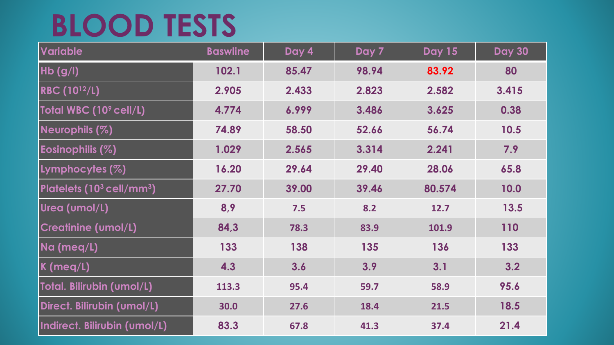# **BLOOD TESTS**

| <b>Variable</b>                        | <b>Baswline</b> | Day 4 | Day 7 | <b>Day 15</b> | <b>Day 30</b> |
|----------------------------------------|-----------------|-------|-------|---------------|---------------|
| $Hb$ (g/l)                             | 102.1           | 85.47 | 98.94 | 83.92         | 80            |
| <b>RBC (10<sup>12</sup>/L)</b>         | 2.905           | 2.433 | 2.823 | 2.582         | 3.415         |
| Total WBC (10 <sup>9</sup> cell/L)     | 4.774           | 6.999 | 3.486 | 3.625         | 0.38          |
| Neurophils (%)                         | 74.89           | 58.50 | 52.66 | 56.74         | 10.5          |
| Eosinophilis (%)                       | 1.029           | 2.565 | 3.314 | 2.241         | 7.9           |
| Lymphocytes (%)                        | 16.20           | 29.64 | 29.40 | 28.06         | 65.8          |
| Platelets $(10^3 \, \text{cell/mm}^3)$ | 27.70           | 39.00 | 39.46 | 80.574        | 10.0          |
| Urea (umol/L)                          | 8,9             | 7.5   | 8.2   | 12.7          | 13.5          |
| <b>Creatinine (umol/L)</b>             | 84,3            | 78.3  | 83.9  | 101.9         | 110           |
| Na (meq/L)                             | 133             | 138   | 135   | 136           | 133           |
| $K$ (meq/L)                            | 4.3             | 3.6   | 3.9   | 3.1           | 3.2           |
| Total. Bilirubin (umol/L)              | 113.3           | 95.4  | 59.7  | 58.9          | 95.6          |
| Direct. Bilirubin (umol/L)             | 30.0            | 27.6  | 18.4  | 21.5          | 18.5          |
| Indirect. Bilirubin (umol/L)           | 83.3            | 67.8  | 41.3  | 37.4          | 21.4          |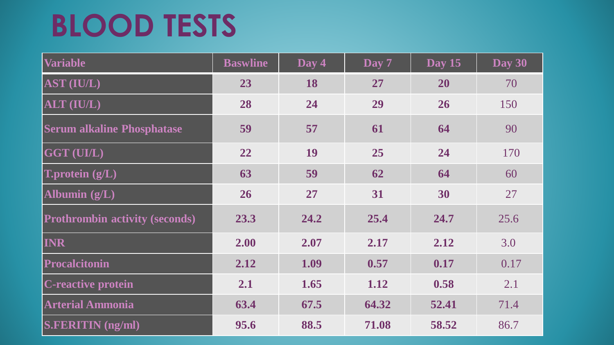# **BLOOD TESTS**

| <b>Variable</b>                       | <b>Baswline</b> | Day 4 | Day 7 | Day $15$ | Day 30 |
|---------------------------------------|-----------------|-------|-------|----------|--------|
| AST (IU/L)                            | 23              | 18    | 27    | 20       | 70     |
| ALT (IU/L)                            | 28              | 24    | 29    | 26       | 150    |
| <b>Serum alkaline Phosphatase</b>     | 59              | 57    | 61    | 64       | 90     |
| GGT (UI/L)                            | 22              | 19    | 25    | 24       | 170    |
| <b>T.protein</b> $(g/L)$              | 63              | 59    | 62    | 64       | 60     |
| Albumin $(g/L)$                       | 26              | 27    | 31    | 30       | 27     |
| <b>Prothrombin activity (seconds)</b> | 23.3            | 24.2  | 25.4  | 24.7     | 25.6   |
| <b>INR</b>                            | 2.00            | 2.07  | 2.17  | 2.12     | 3.0    |
| Procalcitonin                         | 2.12            | 1.09  | 0.57  | 0.17     | 0.17   |
| <b>C-reactive protein</b>             | 2.1             | 1.65  | 1.12  | 0.58     | 2.1    |
| <b>Arterial Ammonia</b>               | 63.4            | 67.5  | 64.32 | 52.41    | 71.4   |
| <b>S.FERITIN</b> (ng/ml)              | 95.6            | 88.5  | 71.08 | 58.52    | 86.7   |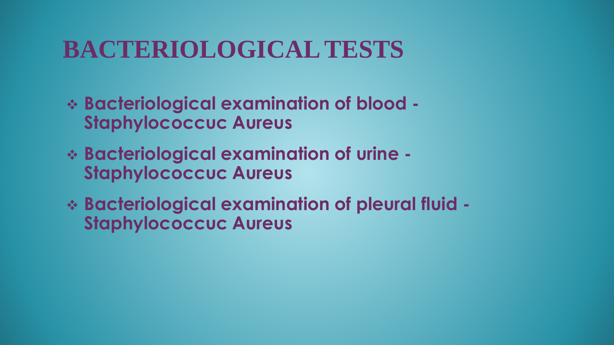### **BACTERIOLOGICAL TESTS**

- **Bacteriological examination of blood - Staphylococcuc Aureus**
- **Bacteriological examination of urine - Staphylococcuc Aureus**
- **Bacteriological examination of pleural fluid - Staphylococcuc Aureus**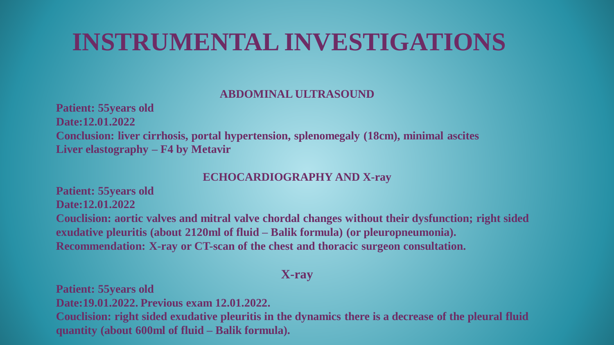### **INSTRUMENTAL INVESTIGATIONS**

#### **ABDOMINAL ULTRASOUND**

**Patient: 55years old Date:12.01.2022 Conclusion: liver cirrhosis, portal hypertension, splenomegaly (18cm), minimal ascites Liver elastography – F4 by Metavir**

#### **ECHOCARDIOGRAPHY AND X-ray**

**Patient: 55years old Date:12.01.2022**

**Couclision: aortic valves and mitral valve chordal changes without their dysfunction; right sided exudative pleuritis (about 2120ml of fluid – Balik formula) (or pleuropneumonia). Recommendation: X-ray or CT-scan of the chest and thoracic surgeon consultation.**

#### **X-ray**

**Patient: 55years old Date:19.01.2022. Previous exam 12.01.2022. Couclision: right sided exudative pleuritis in the dynamics there is a decrease of the pleural fluid quantity (about 600ml of fluid – Balik formula).**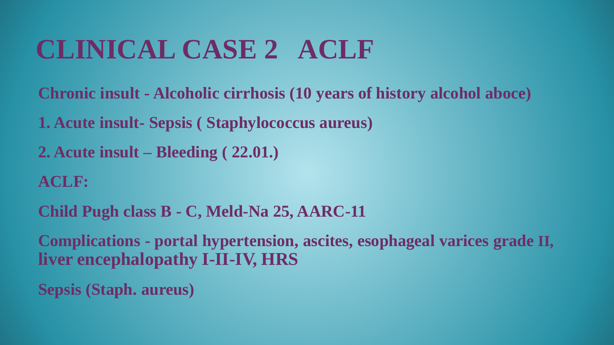# **CLINICAL CASE 2 ACLF**

**Chronic insult - Alcoholic cirrhosis (10 years of history alcohol aboce)**

**1. Acute insult- Sepsis ( Staphylococcus aureus)**

**2. Acute insult – Bleeding ( 22.01.)**

**ACLF:** 

**Child Pugh class B - C, Meld-Na 25, AARC-11**

**Complications - portal hypertension, ascites, esophageal varices grade II, liver encephalopathy I-II-IV, HRS**

**Sepsis (Staph. aureus)**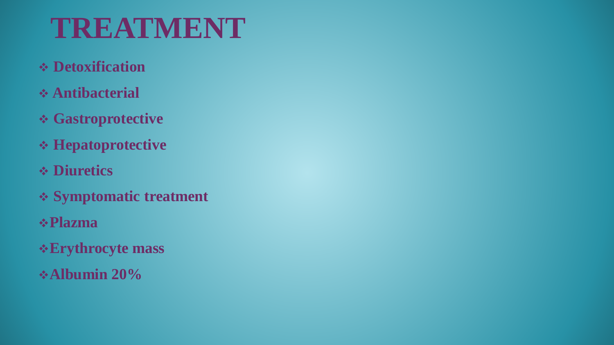# **TREATMENT**

- **Detoxification**
- **Antibacterial**
- **Gastroprotective**
- **Hepatoprotective**
- **Diuretics**
- **Symptomatic treatment**
- **Plazma**
- **Erythrocyte mass**
- **Albumin 20%**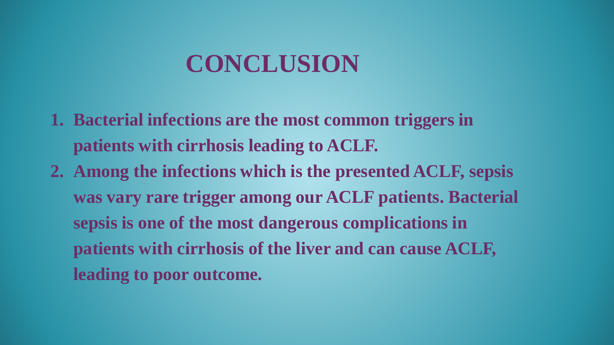### **CONCLUSION**

- **1. Bacterial infections are the most common triggers in patients with cirrhosis leading to ACLF.**
- **2. Among the infections which is the presented ACLF, sepsis was vary rare trigger among our ACLF patients. Bacterial sepsis is one of the most dangerous complications in patients with cirrhosis of the liver and can cause ACLF, leading to poor outcome.**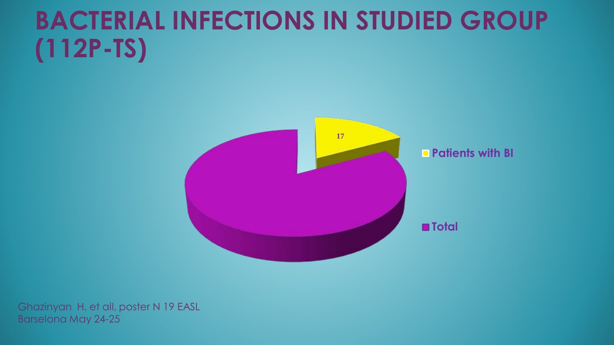# **BACTERIAL INFECTIONS IN STUDIED GROUP (112P-TS)**



Ghazinyan H. et all, poster N 19 EASL Barselona May 24-25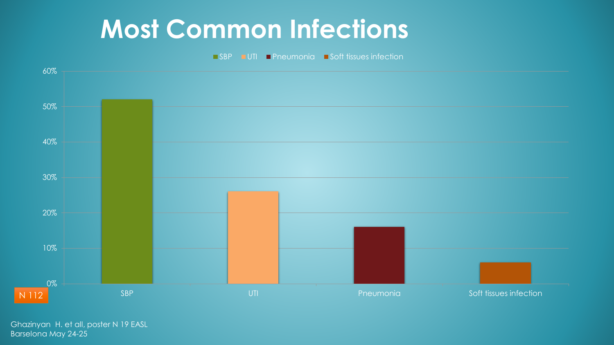### **Most Common Infections**

■ SBP ■ UTI ■ Pneumonia ■ Soft tissues infection



Ghazinyan H. et all, poster N 19 EASL Barselona May 24-25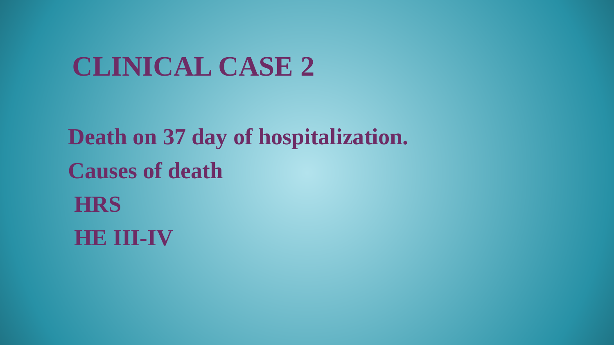# **CLINICAL CASE 2**

**Death on 37 day of hospitalization. Causes of death HRS HE III-IV**